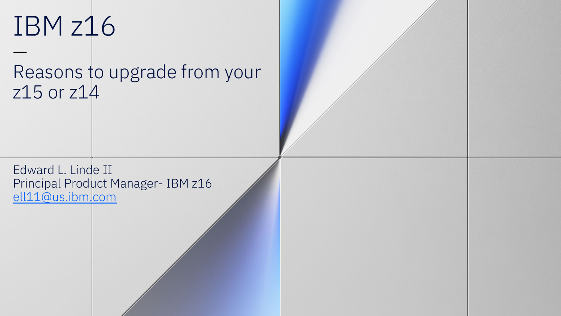# IBM z16

 $\frac{1}{\sqrt{2}}$ 

Reasons to upgrade from your z15 or z14

Edward L. Linde II Principal Product Manager- IBM z16 [ell11@us.ibm.com](mailto:ell11@us.ibm.com)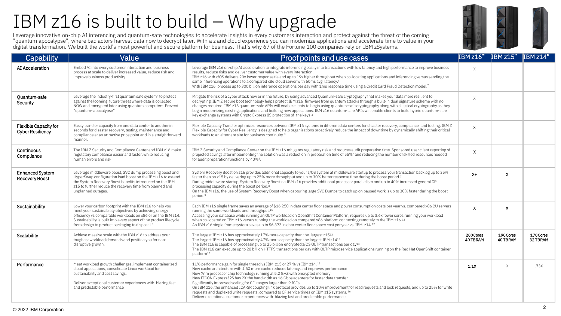## IBM z16 is built to build – Why upgrade

Leverage innovative on-chip AI inferencing and quantum-safe technologies to accelerate insights in every customers interaction and protect against the threat of the coming<br>"quantum apocalypse", where bad actors harvest dat digital transformation. We built the world's most powerful and secure platform for business. That's why 67 of the Fortune 100 companies rely on IBM zSystems.



| Capability                                       | Value                                                                                                                                                                                                                                                                                                                   | Proof points and use cases                                                                                                                                                                                                                                                                                                                                                                                                                                                                                                                                                                                                                                                                                                                                                     |                           | IBM z16" IBM z15" IBM z14° |                       |
|--------------------------------------------------|-------------------------------------------------------------------------------------------------------------------------------------------------------------------------------------------------------------------------------------------------------------------------------------------------------------------------|--------------------------------------------------------------------------------------------------------------------------------------------------------------------------------------------------------------------------------------------------------------------------------------------------------------------------------------------------------------------------------------------------------------------------------------------------------------------------------------------------------------------------------------------------------------------------------------------------------------------------------------------------------------------------------------------------------------------------------------------------------------------------------|---------------------------|----------------------------|-----------------------|
| AI Acceleration                                  | Embed AI into every customer interaction and business<br>process at scale to deliver increased value, reduce risk and<br>improve business productivity.                                                                                                                                                                 | Leverage IBM z16 on-chip AI acceleration to integrate inferencing easily into transactions with low latency and high performance to improve business<br>results, reduce risks and deliver customer value with every interaction.<br>IBM z16 with z/OS delivers 20x lower response tie and up to 19x higher throughput when co-locating applications and inferencing versus sending the<br>same inferencing operations to a compared x86 cloud server with 60ms avg. latency. <sup>1</sup><br>With IBM z16, process up to 300 billion inference operations per day with 1ms response time using a Credit Card Fraud Detection model. <sup>2</sup>                                                                                                                               | $\boldsymbol{\mathsf{x}}$ |                            |                       |
| Quantum-safe<br>Security                         | Leverage the industry-first quantum safe system <sup>3</sup> to protect<br>against the looming future threat where data is collected<br>NOW and encrypted later using quantum computers. Prevent<br>"quantum-apocalypse"                                                                                                | Mitigate the risk of a cyber attack now or in the future, by using advanced Quantum-safe cryptography that makes your data more resilient to<br>decrypting. IBM Z secure boot technology helps protect IBM z16 firmware from quantum attacks through a built-in dual signature scheme with no<br>changes required. IBM z16 quantum-safe APIs will enable clients to begin using quantum-safe cryptography along with classical cryptography as they<br>begin modernizing existing applications and building new applications. IBM z16 quantum-safe APIs will enable clients to build hybrid quantum-safe<br>key exchange systems with Crypto Express 8S protection of the keys. <sup>3</sup>                                                                                   | $\chi$                    |                            |                       |
| Flexible Capacity for<br><b>Cyber Resiliency</b> | Easily transfer capacity from one data center to another in<br>seconds for disaster recovery, testing, maintenance and<br>compliance at an attractive price point and in a straightforward<br>manner.                                                                                                                   | Flexible Capacity Transfer optimizes resources between IBM z16 systems in different data centers for disaster recovery, compliance and testing. IBM Z<br>Flexible Capacity for Cyber Resiliency is designed to help organizations proactively reduce the impact of downtime by dynamically shifting their critical<br>workloads to an alternate site for business continuity. <sup>4</sup>                                                                                                                                                                                                                                                                                                                                                                                     | $\boldsymbol{\mathsf{x}}$ |                            |                       |
| Continuous<br>Compliance                         | The IBM Z Security and Compliance Center and IBM z16 make<br>regulatory compliance easier and faster, while reducing<br>human errors and risk                                                                                                                                                                           | IBM Z Security and Compliance Center on the IBM z16 mitigates regulatory risk and reduces audit preparation time. Sponsored user client reporting of<br>projected savings after implementing the solution was a reduction in preparation time of 55% <sup>5</sup> and reducing the number of skilled resources needed<br>for audit preparation functions by 40%6.                                                                                                                                                                                                                                                                                                                                                                                                              | $\boldsymbol{\mathsf{x}}$ |                            |                       |
| <b>Enhanced System</b><br><b>Recovery Boost</b>  | Leverage middleware boost, SVC dump processing boost and<br>HyperSwap configuration load boost on the IBM z16 to extend<br>the System Recovery Boost benefits introduced on the IBM<br>z15 to further reduce the recovery time from planned and<br>unplanned outages.                                                   | System Recovery Boost on z16 provides additional capacity to your z/OS system at middleware startup to process your transaction backlog up to 35%<br>faster than on z15 by delivering up to 25% more throughput and up to 30% better response time during the boost period. <sup>7</sup><br>During middleware startup, System Recovery Boost on IBM z16 provides additional processor parallelism and up to 40% increased general CP<br>processing capacity during the boost period. <sup>8</sup><br>On the IBM z16, the use of System Recovery Boost when capturing large SVC Dumps to catch up on paused work is up to 30% faster during the boost<br>period.9                                                                                                               | $X+$                      | x                          |                       |
| Sustainability                                   | Lower your carbon footprint with the IBM z16 to help you<br>meet your sustainability objectives by achieving energy<br>efficiency vs comparable workloads on x86 or on the IBM z14.<br>Sustainability is built into every aspect of the product lifecycle<br>from design to product packaging to disposal. <sup>6</sup> | Each IBM z16 single frame saves an average of \$16,250 in data center floor space and power consumption costs per year vs. compared x86 2U servers<br>running the same workloads and throughput. <sup>10</sup><br>Accessing your database while running an OLTP workload on OpenShift Container Platform, requires up to 3.6x fewer cores running your workload<br>when co-located on IBM z16 versus running the workload on compared x86 platform connecting remotely to the IBM z16.11<br>An IBM z16 single frame system saves up to \$6,373 in data center floor space cost per year vs. IBM z14.12                                                                                                                                                                         | $\boldsymbol{\mathsf{x}}$ | x                          |                       |
| Scalability                                      | Achieve massive scale with the IBM z16 to address your<br>toughest workload demands and position you for non-<br>disruptive growth.                                                                                                                                                                                     | The largest IBM z16 has approximately 17% more capacity than the largest z1513<br>The largest IBM z16 has approximately 47% more capacity than the largest IBM z1413<br>The IBM z16 is capable of processing up to 25 billion encrypted z/OS OLTP transactions per day <sup>14</sup><br>The IBM z16 can execute up to 20 billion HTTPS transactions per day with OLTP microservice applications running on the Red Hat OpenShift container<br>platform <sup>15</sup>                                                                                                                                                                                                                                                                                                           | 200 Cores<br>40 TBRAM     | 190 Cores<br>40 TBRAM      | 170 Cores<br>32 TBRAM |
| Performance                                      | Meet workload growth challenges, implement containerized<br>cloud applications, consolidate Linux workload for<br>sustainability and cost savings.<br>Deliver exceptional customer experiences with blazing fast<br>and predictable performance                                                                         | 11% performance gain for single thread vs IBM z15 or 27 % vs IBM z14. <sup>13</sup><br>New cache architecture with 1.5X more cache reduces latency and improves performance<br>New 7nm processor chip technology running at 5.2 GHZ with encrypted memory<br>New FICON Express32S has 2X the bandwidth as 16 Gbps adapters for faster data transfer<br>Significantly improved scaling for CF images larger than 9 ICFs<br>On IBM z16, the enhanced ICA-SR coupling link protocol provides up to 10% improvement for read requests and lock requests, and up to 25% for write<br>requests and duplexed write requests, compared to CF service times on IBM z15 systems. <sup>16</sup><br>Deliver exceptional customer experiences with blazing fast and predictable performance | 1.1X                      | $\times$                   | .73X                  |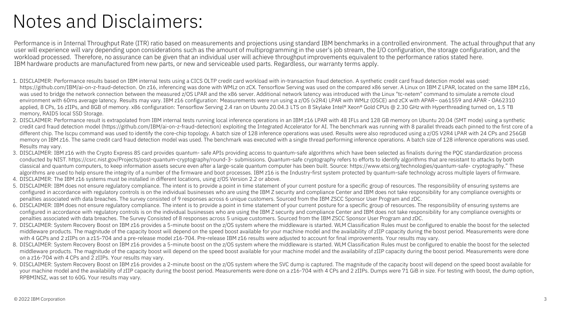#### Notes and Disclaimers:

Performance is in Internal Throughput Rate (ITR) ratio based on measurements and projections using standard IBM benchmarks in a controlled environment. The actual throughput that any user will experience will vary depending upon considerations such as the amount of multiprogramming in the user's job stream, the I/O configuration, the storage configuration, and the workload processed. Therefore, no assurance can be given that an individual user will achieve throughput improvements equivalent to the performance ratios stated here. IBM hardware products are manufactured from new parts, or new and serviceable used parts. Regardless, our warranty terms apply.

- 1. DISCLAIMER: Performance results based on IBM internal tests using a CICS OLTP credit card workload with in-transaction fraud detection. A synthetic credit card fraud detection model was used: https://github.com/IBM/ai-on-z-fraud-detection. On z16, inferencing was done with WMLz on zCX. Tensorflow Serving was used on the compared x86 server. A Linux on IBM Z LPAR, located on the same IBM z16, was used to bridge the network connection between the measured z/OS LPAR and the x86 server. Additional network latency was introduced with the Linux "tc-netem" command to simulate a remote cloud environment with 60ms average latency. Results may vary. IBM z16 configuration: Measurements were run using a z/OS (v2R4) LPAR with WMLz (OSCE) and zCX with APAR- oa61559 and APAR - OA62310 applied, 8 CPs, 16 zIIPs, and 8GB of memory. x86 configuration: Tensorflow Serving 2.4 ran on Ubuntu 20.04.3 LTS on 8 Skylake Intel® Xeon® Gold CPUs @ 2.30 GHz with Hyperthreading turned on, 1.5 TB memory, RAID5 local SSD Storage.
- 2. DISCLAIMER: Performance result is extrapolated from IBM internal tests running local inference operations in an IBM z16 LPAR with 48 IFLs and 128 GB memory on Ubuntu 20.04 (SMT mode) using a synthetic credit card fraud detection model (https://github.com/IBM/ai-on-z-fraud-detection) exploiting the Integrated Accelerator for AI. The benchmark was running with 8 parallel threads each pinned to the first core of a different chip. The lscpu command was used to identify the core-chip topology. A batch size of 128 inference operations was used. Results were also reproduced using a z/OS V2R4 LPAR with 24 CPs and 256GB memory on IBM z16. The same credit card fraud detection model was used. The benchmark was executed with a single thread performing inference operations. A batch size of 128 inference operations was used. Results may vary.
- 3. DISCLAIMER: IBM z16 with the Crypto Express 8S card provides quantum- safe APIs providing access to quantum-safe algorithms which have been selected as finalists during the PQC standardization process conducted by NIST. https://csrc.nist.gov/Projects/post-quantum-cryptography/round-3- submissions. Quantum-safe cryptography refers to efforts to identify algorithms that are resistant to attacks by both classical and quantum computers, to keep information assets secure even after a large-scale quantum computer has been built. Source: https://www.etsi.org/technologies/quantum-safe- cryptography." These algorithms are used to help ensure the integrity of a number of the firmware and boot processes. IBM z16 is the Industry-first system protected by quantum-safe technology across multiple layers of firmware.
- 4. DISCLAIMER: The IBM z16 systems must be installed in different locations, using z/OS Version 2.2 or above.
- 5. DISCLAIMER: IBM does not ensure regulatory compliance. The intent is to provide a point in time statement of your current posture for a specific group of resources. The responsibility of ensuring systems are configured in accordance with regulatory controls is on the individual businesses who are using the IBM Z security and compliance Center and IBM does not take responsibility for any compliance oversights or penalties associated with data breaches. The survey consisted of 9 responses across 6 unique customers. Sourced from the IBM ZSCC Sponsor User Program and zDC.
- 6. DISCLAIMER: IBM does not ensure regulatory compliance. The intent is to provide a point in time statement of your current posture for a specific group of resources. The responsibility of ensuring systems are configured in accordance with regulatory controls is on the individual businesses who are using the IBM Z security and compliance Center and IBM does not take responsibility for any compliance oversights or penalties associated with data breaches. The Survey Consisted of 8 responses across 5 unique customers. Sourced from the IBM ZSCC Sponsor User Program and zDC.
- 7. DISCLAIMER: System Recovery Boost on IBM z16 provides a 5-minute boost on the z/OS system where the middleware is started. WLM Classification Rules must be configured to enable the boost for the selected middleware products. The magnitude of the capacity boost will depend on the speed boost available for your machine model and the availability of zIIP capacity during the boost period. Measurements were done with 4 GCPs and 2 zIIPs on a z15-704 and a pre-release model z16-704. Pre-release IBM z16 results were adjusted to account for final improvements. Your results may vary.
- 8. DISCLAIMER: System Recovery Boost on IBM z16 provides a 5-minute boost on the z/OS system where the middleware is started. WLM Classification Rules must be configured to enable the boost for the selected middleware products. The magnitude of the capacity boost will depend on the speed boost available for your machine model and the availability of zIIP capacity during the boost period. Measurements were done on a z16-704 with 4 CPs and 2 zIIPs. Your results may vary.
- 9. DISCLAIMER: System Recovery Boost on IBM z16 provides a 2-minute boost on the z/OS system where the SVC dump is captured. The magnitude of the capacity boost will depend on the speed boost available for your machine model and the availability of zIIP capacity during the boost period. Measurements were done on a z16-704 with 4 CPs and 2 zIIPs. Dumps were 71 GiB in size. For testing with boost, the dump option, RPBMINSZ, was set to 60G. Your results may vary.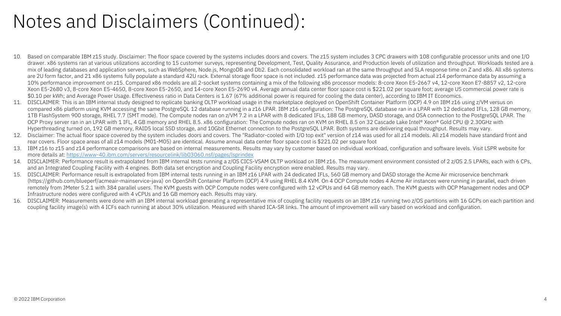### Notes and Disclaimers (Continued):

- 10. Based on comparable IBM z15 study. Disclaimer: The floor space covered by the systems includes doors and covers. The z15 system includes 3 CPC drawers with 108 configurable processor units and one I/O drawer. x86 systems ran at various utilizations according to 15 customer surveys, representing Development, Test, Quality Assurance, and Production levels of utilization and throughput. Workloads tested are a mix of leading databases and application servers, such as WebSphere, Node.js, MongoDB and Db2. Each consolidated workload ran at the same throughput and SLA response time on Z and x86. All x86 systems are 2U form factor, and 21 x86 systems fully populate a standard 42U rack. External storage floor space is not included. z15 performance data was projected from actual z14 performance data by assuming a 10% performance improvement on z15. Compared x86 models are all 2-socket systems containing a mix of the following x86 processor models: 8-core Xeon E5-2667 v4, 12-core Xeon E7-8857 v2, 12-core Xeon E5-2680 v3, 8-core Xeon E5-4650, 8-core Xeon E5-2650, and 14-core Xeon E5-2690 v4. Average annual data center floor space cost is \$221.02 per square foot; average US commercial power rate is \$0.10 per kWh; and Average Power Usage. Effectiveness ratio in Data Centers is 1.67 (67% additional power is required for cooling the data center), according to IBM IT Economics.
- 11. DISCLAIMER: This is an IBM internal study designed to replicate banking OLTP workload usage in the marketplace deployed on OpenShift Container Platform (OCP) 4.9 on IBM z16 using z/VM versus on compared x86 platform using KVM accessing the same PostgreSQL 12 database running in a z16 LPAR. IBM z16 configuration: The PostgreSQL database ran in a LPAR with 12 dedicated IFLs, 128 GB memory, 1TB FlashSystem 900 storage, RHEL 7.7 (SMT mode). The Compute nodes ran on z/VM 7.2 in a LPAR with 8 dedicated IFLs, 188 GB memory, DASD storage, and OSA connection to the PostgreSQL LPAR. The OCP Proxy server ran in an LPAR with 1 IFL, 4 GB memory and RHEL 8.5, x86 configuration: The Compute nodes ran on KVM on RHEL 8.5 on 32 Cascade Lake Intel® Xeon® Gold CPU @ 2.30GHz with Hyperthreading turned on, 192 GB memory, RAID5 local SSD storage, and 10Gbit Ethernet connection to the PostgreSQL LPAR. Both systems are delivering equal throughput. Results may vary.
- 12. Disclaimer: The actual floor space covered by the system includes doors and covers. The "Radiator-cooled with I/O top exit" version of z14 was used for all z14 models. All z14 models have standard front and rear covers. Floor space areas of all z14 models (M01-M05) are identical. Assume annual data center floor space cost is \$221.02 per square foot
- 13. IBM z16 to z15 and z14 performance comparisons are based on internal measurements. Results may vary by customer based on individual workload, configuration and software levels. Visit LSPR website for more details at:<https://www-40.ibm.com/servers/resourcelink/lib03060.nsf/pages/lsprindex>
- 14. DISCLAIMER: Performance result is extrapolated from IBM internal tests running a z/OS CICS-VSAM OLTP workload on IBM z16. The measurement environment consisted of 2 z/OS 2.5 LPARs, each with 6 CPs, and an Integrated Coupling Facility with 4 engines. Both data set encryption and Coupling Facility encryption were enabled. Results may vary.
- 15. DISCLAIMER: Performance result is extrapolated from IBM internal tests running in an IBM z16 LPAR with 24 dedicated IFLs, 560 GB memory and DASD storage the Acme Air microservice benchmark (https://github.com/blueperf/acmeair-mainservice-java) on OpenShift Container Platform (OCP) 4.9 using RHEL 8.4 KVM. On 4 OCP Compute nodes 4 Acme Air instances were running in parallel, each driven remotely from JMeter 5.2.1 with 384 parallel users. The KVM guests with OCP Compute nodes were configured with 12 vCPUs and 64 GB memory each. The KVM guests with OCP Management nodes and OCP Infrastructure nodes were configured with 4 vCPUs and 16 GB memory each. Results may vary.
- 16. DISCLAIMER: Measurements were done with an IBM internal workload generating a representative mix of coupling facility requests on an IBM z16 running two z/OS partitions with 16 GCPs on each partition and coupling facility image(s) with 4 ICFs each running at about 30% utilization. Measured with shared ICA-SR links. The amount of improvement will vary based on workload and configuration.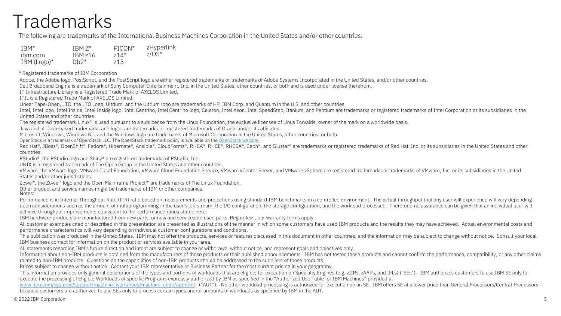#### Trademarks

The following are trademarks of the International Business Machines Corporation in the United States and/or other countries.

| TRM*        | $TRM 7*$       | FICON* | zHyperlink |
|-------------|----------------|--------|------------|
| ibm.com     | <b>IBM z16</b> | $714*$ | $Z/OS^*$   |
| IBM (Logo)* | $Dh2*$         | 715    |            |

\* Registered trademarks of IBM Corporation

Adobe, the Adobe logo, PostScript, and the PostScript logo are either registered trademarks or trademarks of Adobe Systems Incorporated in the United States, and/or other countries.

Cell Broadband Engine is a trademark of Sony Computer Entertainment, Inc. in the United States, other countries, or both and is used under license therefrom.

IT Infrastructure Library is a Registered Trade Mark of AXELOS Limited.

ITIL is a Registered Trade Mark of AXELOS Limited.

Linear Tape-Open, LTO, the LTO Logo, Ultrium, and the Ultrium logo are trademarks of HP, IBM Corp. and Quantum in the U.S. and other countries.

Intel, Intel logo, Intel Inside, Intel Inside logo, Intel Centrino, Intel Centrino logo, Celeron, Intel Xeon, Intel SpeedStep, Itanium, and Pentium are trademarks or registered trademarks of Intel Corporation or its subsid United States and other countries.

The registered trademark Linux® is used pursuant to a sublicense from the Linux Foundation, the exclusive licensee of Linus Torvalds, owner of the mark on a worldwide basis.

Java and all Java-based trademarks and logos are trademarks or registered trademarks of Oracle and/or its affiliates.

Microsoft, Windows, Windows NT, and the Windows logo are trademarks of Microsoft Corporation in the United States, other countries, or both.

OpenStack is a trademark of OpenStack LLC. The OpenStack trademark policy is available on the [OpenStack website.](http://www.openstack.org/brand/openstack-trademark-policy)

Red Hat®, JBoss®, OpenShift®, Fedora®, Hibernate®, Ansible®, CloudForms®, RHCA®, RHCE®, RHCSA®, Ceph®, and Gluster® are trademarks or registered trademarks of Red Hat, Inc. or its subsidiaries in the United States and othe countries.

RStudio®, the RStudio logo and Shiny® are registered trademarks of RStudio, Inc.

UNIX is a registered trademark of The Open Group in the United States and other countries.

VMware, the VMware logo, VMware Cloud Foundation, VMware Cloud Foundation Service, VMware vCenter Server, and VMware vSphere are registered trademarks or trademarks of VMware, Inc. or its subsidiaries in the United States and/or other jurisdictions.

Zowe™, the Zowe™ logo and the Open Mainframe Project™ are trademarks of The Linux Foundation.

Other product and service names might be trademarks of IBM or other companies.

Notes:

Performance is in Internal Throughput Rate (ITR) ratio based on measurements and projections using standard IBM benchmarks in a controlled environment. The actual throughput that any user will experience will vary dependin upon considerations such as the amount of multiprogramming in the user's job stream, the I/O configuration, the storage configuration, and the workload processed. Therefore, no assurance can be given that an individual use achieve throughput improvements equivalent to the performance ratios stated here.

IBM hardware products are manufactured from new parts, or new and serviceable used parts. Regardless, our warranty terms apply.

All customer examples cited or described in this presentation are presented as illustrations of the manner in which some customers have used IBM products and the results they may have achieved. Actual environmental costs a performance characteristics will vary depending on individual customer configurations and conditions.

This publication was produced in the United States. IBM may not offer the products, services or features discussed in this document in other countries, and the information may be subiect to change without notice. Consult y IBM business contact for information on the product or services available in your area.

All statements regarding IBM's future direction and intent are subject to change or withdrawal without notice, and represent goals and objectives only.

Information about non-IBM products is obtained from the manufacturers of those products or their published announcements. IBM has not tested those products and cannot confirm the performance, compatibility, or any other cl related to non-IBM products. Questions on the capabilities of non-IBM products should be addressed to the suppliers of those products.

Prices subject to change without notice. Contact your IBM representative or Business Partner for the most current pricing in your geography.

This information provides only general descriptions of the types and portions of workloads that are eligible for execution on Specialty Engines (e.g, zIIPs, zAAPs, and IFLs) ("SEs"). IBM authorizes customers to use IBM SE execute the processing of Eligible Workloads of specific Programs expressly authorized by IBM as specified in the "Authorized Use Table for IBM Machines" provided at

[www.ibm.com/systems/support/machine\\_warranties/machine\\_code/aut.html](http://www.ibm.com/systems/support/machine_warranties/machine_code/aut.html) ("AUT"). No other workload processing is authorized for execution on an SE. IBM offers SE at a lower price than General Processors/Central Processors because customers are authorized to use SEs only to process certain types and/or amounts of workloads as specified by IBM in the AUT.